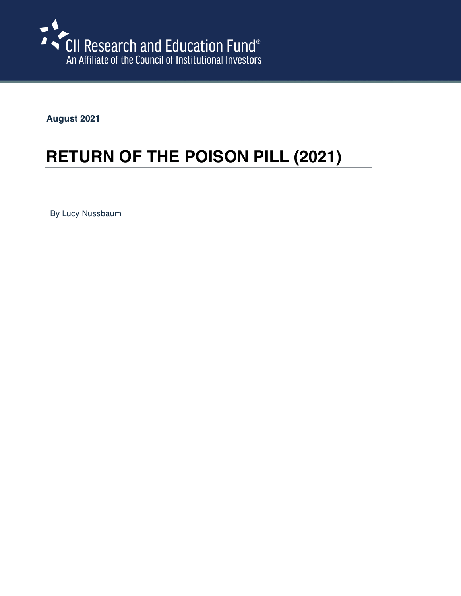

**August 2021**

# **RETURN OF THE POISON PILL (2021)**

By Lucy Nussbaum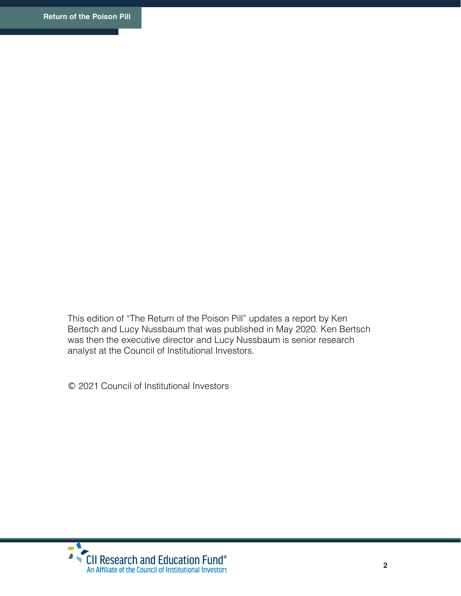This edition of "The Return of the Poison Pill" updates a report by Ken Bertsch and Lucy Nussbaum that was published in May 2020. Ken Bertsch was then the executive director and Lucy Nussbaum is senior research analyst at the Council of Institutional Investors.

© 2021 Council of Institutional Investors

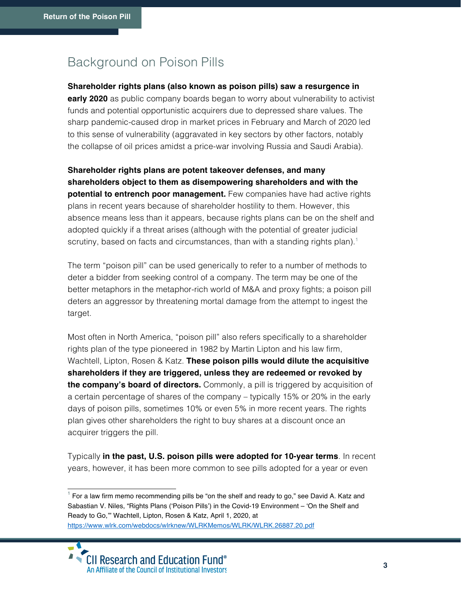# Background on Poison Pills

### **Shareholder rights plans (also known as poison pills) saw a resurgence in**

**early 2020** as public company boards began to worry about vulnerability to activist funds and potential opportunistic acquirers due to depressed share values. The sharp pandemic-caused drop in market prices in February and March of 2020 led to this sense of vulnerability (aggravated in key sectors by other factors, notably the collapse of oil prices amidst a price-war involving Russia and Saudi Arabia).

**Shareholder rights plans are potent takeover defenses, and many shareholders object to them as disempowering shareholders and with the potential to entrench poor management.** Few companies have had active rights plans in recent years because of shareholder hostility to them. However, this absence means less than it appears, because rights plans can be on the shelf and adopted quickly if a threat arises (although with the potential of greater judicial scrutiny, based on facts and circumstances, than with a standing rights plan).<sup>1</sup>

The term "poison pill" can be used generically to refer to a number of methods to deter a bidder from seeking control of a company. The term may be one of the better metaphors in the metaphor-rich world of M&A and proxy fights; a poison pill deters an aggressor by threatening mortal damage from the attempt to ingest the target.

Most often in North America, "poison pill" also refers specifically to a shareholder rights plan of the type pioneered in 1982 by Martin Lipton and his law firm, Wachtell, Lipton, Rosen & Katz. **These poison pills would dilute the acquisitive shareholders if they are triggered, unless they are redeemed or revoked by the company's board of directors.** Commonly, a pill is triggered by acquisition of a certain percentage of shares of the company – typically 15% or 20% in the early days of poison pills, sometimes 10% or even 5% in more recent years. The rights plan gives other shareholders the right to buy shares at a discount once an acquirer triggers the pill.

Typically **in the past, U.S. poison pills were adopted for 10-year terms**. In recent years, however, it has been more common to see pills adopted for a year or even

 $<sup>1</sup>$  For a law firm memo recommending pills be "on the shelf and ready to go," see David A. Katz and</sup> Sabastian V. Niles, "Rights Plans ('Poison Pills') in the Covid-19 Environment – 'On the Shelf and Ready to Go,'" Wachtell, Lipton, Rosen & Katz, April 1, 2020, at https://www.wlrk.com/webdocs/wlrknew/WLRKMemos/WLRK/WLRK.26887.20.pdf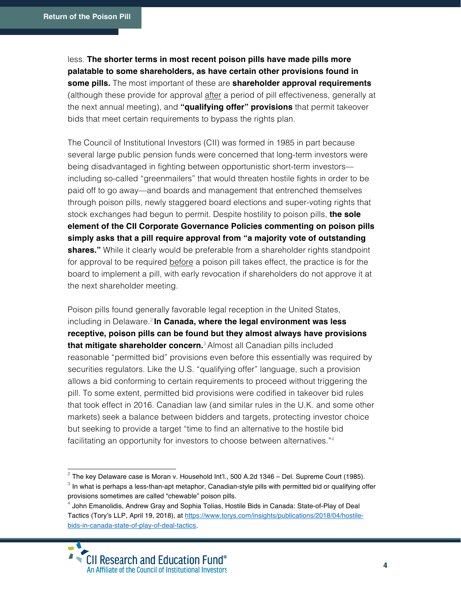less. **The shorter terms in most recent poison pills have made pills more palatable to some shareholders, as have certain other provisions found in some pills.** The most important of these are **shareholder approval requirements**  (although these provide for approval after a period of pill effectiveness, generally at the next annual meeting), and **"qualifying offer" provisions** that permit takeover bids that meet certain requirements to bypass the rights plan.

The Council of Institutional Investors (CII) was formed in 1985 in part because several large public pension funds were concerned that long-term investors were being disadvantaged in fighting between opportunistic short-term investors including so-called "greenmailers" that would threaten hostile fights in order to be paid off to go away—and boards and management that entrenched themselves through poison pills, newly staggered board elections and super-voting rights that stock exchanges had begun to permit. Despite hostility to poison pills, **the sole element of the CII Corporate Governance Policies commenting on poison pills simply asks that a pill require approval from "a majority vote of outstanding shares."** While it clearly would be preferable from a shareholder rights standpoint for approval to be required before a poison pill takes effect, the practice is for the board to implement a pill, with early revocation if shareholders do not approve it at the next shareholder meeting.

Poison pills found generally favorable legal reception in the United States, including in Delaware. <sup>2</sup> **In Canada, where the legal environment was less receptive, poison pills can be found but they almost always have provisions that mitigate shareholder concern.**<sup>3</sup> Almost all Canadian pills included reasonable "permitted bid" provisions even before this essentially was required by securities regulators. Like the U.S. "qualifying offer" language, such a provision allows a bid conforming to certain requirements to proceed without triggering the pill. To some extent, permitted bid provisions were codified in takeover bid rules that took effect in 2016. Canadian law (and similar rules in the U.K. and some other markets) seek a balance between bidders and targets, protecting investor choice but seeking to provide a target "time to find an alternative to the hostile bid facilitating an opportunity for investors to choose between alternatives."4

 $2$  The key Delaware case is Moran v. Household Int'l., 500 A.2d 1346 – Del. Supreme Court (1985).

 $3$  In what is perhaps a less-than-apt metaphor, Canadian-style pills with permitted bid or qualifying offer provisions sometimes are called "chewable" poison pills.

<sup>4</sup> John Emanolidis, Andrew Gray and Sophia Tolias, Hostile Bids in Canada: State-of-Play of Deal Tactics (Tory's LLP, April 19, 2018), at https://www.torys.com/insights/publications/2018/04/hostilebids-in-canada-state-of-play-of-deal-tactics.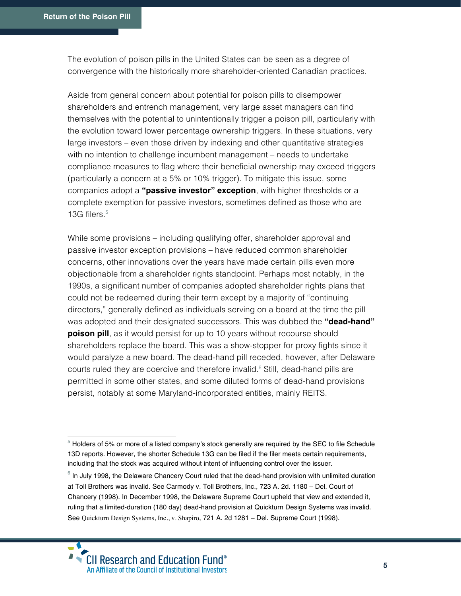The evolution of poison pills in the United States can be seen as a degree of convergence with the historically more shareholder-oriented Canadian practices.

Aside from general concern about potential for poison pills to disempower shareholders and entrench management, very large asset managers can find themselves with the potential to unintentionally trigger a poison pill, particularly with the evolution toward lower percentage ownership triggers. In these situations, very large investors – even those driven by indexing and other quantitative strategies with no intention to challenge incumbent management – needs to undertake compliance measures to flag where their beneficial ownership may exceed triggers (particularly a concern at a 5% or 10% trigger). To mitigate this issue, some companies adopt a **"passive investor" exception**, with higher thresholds or a complete exemption for passive investors, sometimes defined as those who are 13G filers.<sup>5</sup>

While some provisions – including qualifying offer, shareholder approval and passive investor exception provisions – have reduced common shareholder concerns, other innovations over the years have made certain pills even more objectionable from a shareholder rights standpoint. Perhaps most notably, in the 1990s, a significant number of companies adopted shareholder rights plans that could not be redeemed during their term except by a majority of "continuing directors," generally defined as individuals serving on a board at the time the pill was adopted and their designated successors. This was dubbed the **"dead-hand" poison pill**, as it would persist for up to 10 years without recourse should shareholders replace the board. This was a show-stopper for proxy fights since it would paralyze a new board. The dead-hand pill receded, however, after Delaware courts ruled they are coercive and therefore invalid. $6$  Still, dead-hand pills are permitted in some other states, and some diluted forms of dead-hand provisions persist, notably at some Maryland-incorporated entities, mainly REITS.

 $6$  In July 1998, the Delaware Chancery Court ruled that the dead-hand provision with unlimited duration at Toll Brothers was invalid. See Carmody v. Toll Brothers, Inc., 723 A. 2d. 1180 – Del. Court of Chancery (1998). In December 1998, the Delaware Supreme Court upheld that view and extended it, ruling that a limited-duration (180 day) dead-hand provision at Quickturn Design Systems was invalid. See Quickturn Design Systems, Inc., v. Shapiro, 721 A. 2d 1281 – Del. Supreme Court (1998).



<sup>&</sup>lt;sup>5</sup> Holders of 5% or more of a listed company's stock generally are required by the SEC to file Schedule 13D reports. However, the shorter Schedule 13G can be filed if the filer meets certain requirements, including that the stock was acquired without intent of influencing control over the issuer.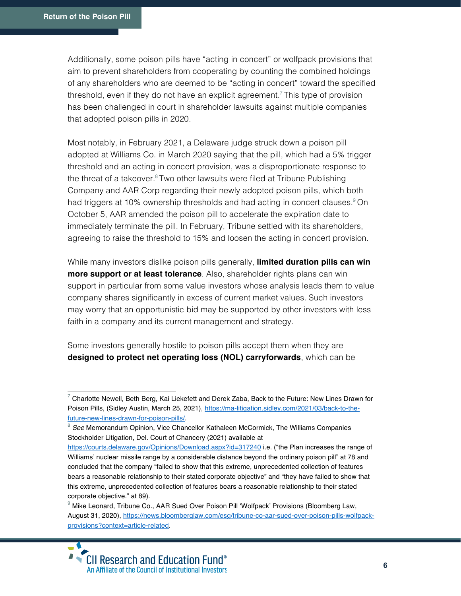Additionally, some poison pills have "acting in concert" or wolfpack provisions that aim to prevent shareholders from cooperating by counting the combined holdings of any shareholders who are deemed to be "acting in concert" toward the specified threshold, even if they do not have an explicit agreement.<sup>7</sup> This type of provision has been challenged in court in shareholder lawsuits against multiple companies that adopted poison pills in 2020.

Most notably, in February 2021, a Delaware judge struck down a poison pill adopted at Williams Co. in March 2020 saying that the pill, which had a 5% trigger threshold and an acting in concert provision, was a disproportionate response to the threat of a takeover. $8$  Two other lawsuits were filed at Tribune Publishing Company and AAR Corp regarding their newly adopted poison pills, which both had triggers at 10% ownership thresholds and had acting in concert clauses.<sup>9</sup> On October 5, AAR amended the poison pill to accelerate the expiration date to immediately terminate the pill. In February, Tribune settled with its shareholders, agreeing to raise the threshold to 15% and loosen the acting in concert provision.

While many investors dislike poison pills generally, **limited duration pills can win more support or at least tolerance**. Also, shareholder rights plans can win support in particular from some value investors whose analysis leads them to value company shares significantly in excess of current market values. Such investors may worry that an opportunistic bid may be supported by other investors with less faith in a company and its current management and strategy.

Some investors generally hostile to poison pills accept them when they are **designed to protect net operating loss (NOL) carryforwards**, which can be

 $^7$  Charlotte Newell, Beth Berg, Kai Liekefett and Derek Zaba, Back to the Future: New Lines Drawn for Poison Pills, (Sidley Austin, March 25, 2021), https://ma-litigation.sidley.com/2021/03/back-to-thefuture-new-lines-drawn-for-poison-pills/.

<sup>8</sup> *See* Memorandum Opinion, Vice Chancellor Kathaleen McCormick, The Williams Companies Stockholder Litigation, Del. Court of Chancery (2021) available at

https://courts.delaware.gov/Opinions/Download.aspx?id=317240 i.e. ("the Plan increases the range of Williams' nuclear missile range by a considerable distance beyond the ordinary poison pill" at 78 and concluded that the company "failed to show that this extreme, unprecedented collection of features bears a reasonable relationship to their stated corporate objective" and "they have failed to show that this extreme, unprecedented collection of features bears a reasonable relationship to their stated corporate objective." at 89).

<sup>&</sup>lt;sup>9</sup> Mike Leonard, Tribune Co., AAR Sued Over Poison Pill 'Wolfpack' Provisions (Bloomberg Law, August 31, 2020), https://news.bloomberglaw.com/esg/tribune-co-aar-sued-over-poison-pills-wolfpackprovisions?context=article-related.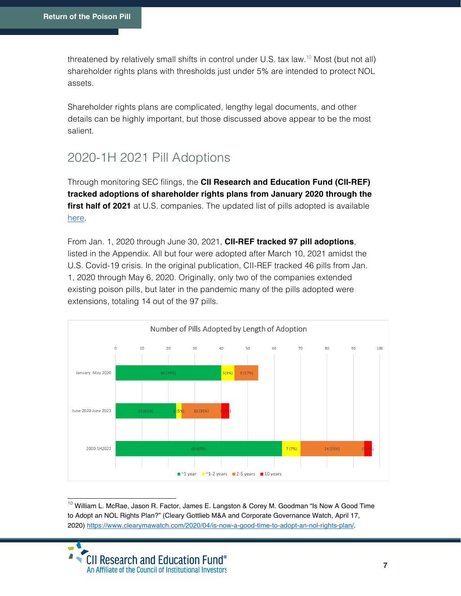threatened by relatively small shifts in control under U.S. tax law.<sup>10</sup> Most (but not all) shareholder rights plans with thresholds just under 5% are intended to protect NOL assets.

Shareholder rights plans are complicated, lengthy legal documents, and other details can be highly important, but those discussed above appear to be the most salient.

# 2020-1H 2021 Pill Adoptions

Through monitoring SEC filings, the **CII Research and Education Fund (CII-REF) tracked adoptions of shareholder rights plans from January 2020 through the first half of 2021** at U.S. companies. The updated list of pills adopted is available here.

From Jan. 1, 2020 through June 30, 2021, **CII-REF tracked 97 pill adoptions**, listed in the Appendix. All but four were adopted after March 10, 2021 amidst the U.S. Covid-19 crisis. In the original publication, CII-REF tracked 46 pills from Jan. 1, 2020 through May 6, 2020. Originally, only two of the companies extended existing poison pills, but later in the pandemic many of the pills adopted were extensions, totaling 14 out of the 97 pills.



 $10$  William L. McRae, Jason R. Factor, James E. Langston & Corey M. Goodman "Is Now A Good Time to Adopt an NOL Rights Plan?" (Cleary Gottlieb M&A and Corporate Governance Watch, April 17, 2020) https://www.clearymawatch.com/2020/04/is-now-a-good-time-to-adopt-an-nol-rights-plan/.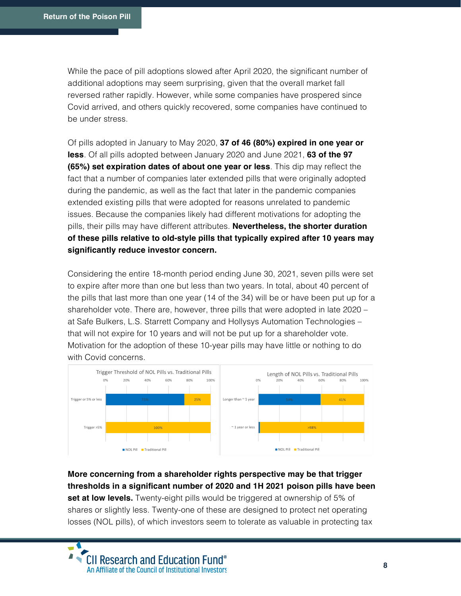While the pace of pill adoptions slowed after April 2020, the significant number of additional adoptions may seem surprising, given that the overall market fall reversed rather rapidly. However, while some companies have prospered since Covid arrived, and others quickly recovered, some companies have continued to be under stress.

Of pills adopted in January to May 2020, **37 of 46 (80%) expired in one year or less**. Of all pills adopted between January 2020 and June 2021, **63 of the 97 (65%) set expiration dates of about one year or less**. This dip may reflect the fact that a number of companies later extended pills that were originally adopted during the pandemic, as well as the fact that later in the pandemic companies extended existing pills that were adopted for reasons unrelated to pandemic issues. Because the companies likely had different motivations for adopting the pills, their pills may have different attributes. **Nevertheless, the shorter duration of these pills relative to old-style pills that typically expired after 10 years may significantly reduce investor concern.**

Considering the entire 18-month period ending June 30, 2021, seven pills were set to expire after more than one but less than two years. In total, about 40 percent of the pills that last more than one year (14 of the 34) will be or have been put up for a shareholder vote. There are, however, three pills that were adopted in late 2020 – at Safe Bulkers, L.S. Starrett Company and Hollysys Automation Technologies – that will not expire for 10 years and will not be put up for a shareholder vote. Motivation for the adoption of these 10-year pills may have little or nothing to do with Covid concerns.



## **More concerning from a shareholder rights perspective may be that trigger thresholds in a significant number of 2020 and 1H 2021 poison pills have been**

**set at low levels.** Twenty-eight pills would be triggered at ownership of 5% of shares or slightly less. Twenty-one of these are designed to protect net operating losses (NOL pills), of which investors seem to tolerate as valuable in protecting tax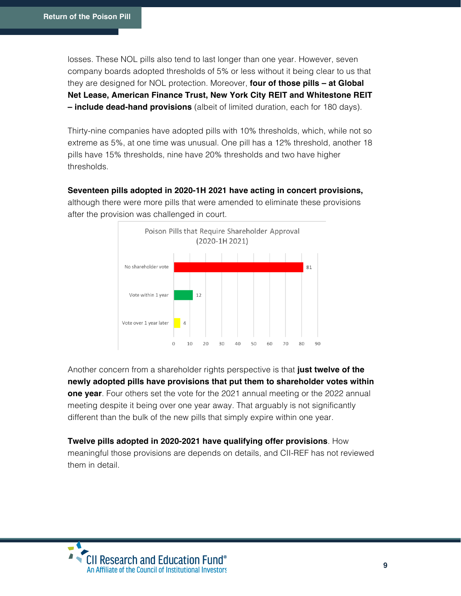losses. These NOL pills also tend to last longer than one year. However, seven company boards adopted thresholds of 5% or less without it being clear to us that they are designed for NOL protection. Moreover, **four of those pills – at Global Net Lease, American Finance Trust, New York City REIT and Whitestone REIT – include dead-hand provisions** (albeit of limited duration, each for 180 days).

Thirty-nine companies have adopted pills with 10% thresholds, which, while not so extreme as 5%, at one time was unusual. One pill has a 12% threshold, another 18 pills have 15% thresholds, nine have 20% thresholds and two have higher thresholds.

#### **Seventeen pills adopted in 2020-1H 2021 have acting in concert provisions,**

although there were more pills that were amended to eliminate these provisions after the provision was challenged in court.



Another concern from a shareholder rights perspective is that **just twelve of the newly adopted pills have provisions that put them to shareholder votes within one year**. Four others set the vote for the 2021 annual meeting or the 2022 annual meeting despite it being over one year away. That arguably is not significantly different than the bulk of the new pills that simply expire within one year.

**Twelve pills adopted in 2020-2021 have qualifying offer provisions**. How meaningful those provisions are depends on details, and CII-REF has not reviewed them in detail.

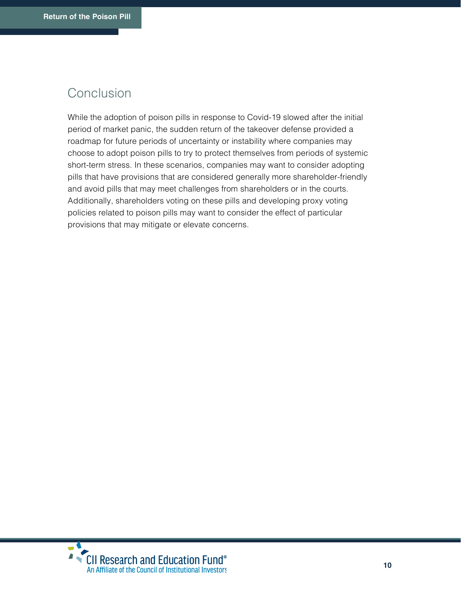## Conclusion

While the adoption of poison pills in response to Covid-19 slowed after the initial period of market panic, the sudden return of the takeover defense provided a roadmap for future periods of uncertainty or instability where companies may choose to adopt poison pills to try to protect themselves from periods of systemic short-term stress. In these scenarios, companies may want to consider adopting pills that have provisions that are considered generally more shareholder-friendly and avoid pills that may meet challenges from shareholders or in the courts. Additionally, shareholders voting on these pills and developing proxy voting policies related to poison pills may want to consider the effect of particular provisions that may mitigate or elevate concerns.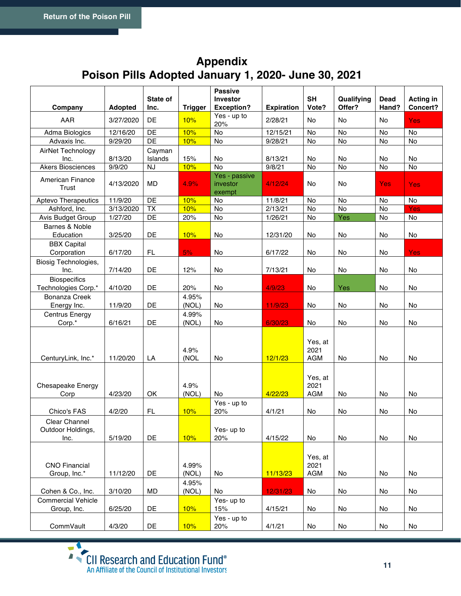## **Appendix Poison Pills Adopted January 1, 2020- June 30, 2021**

|                                            |                | State of          |                | <b>Passive</b><br><b>Investor</b>   |                      | <b>SH</b>                     | Qualifying | Dead       | <b>Acting in</b> |
|--------------------------------------------|----------------|-------------------|----------------|-------------------------------------|----------------------|-------------------------------|------------|------------|------------------|
| Company                                    | <b>Adopted</b> | Inc.              | <b>Trigger</b> | <b>Exception?</b>                   | <b>Expiration</b>    | Vote?                         | Offer?     | Hand?      | Concert?         |
| AAR                                        | 3/27/2020      | DE                | 10%            | Yes - up to<br>20%                  | 2/28/21              | No                            | No         | No         | <b>Yes</b>       |
| Adma Biologics                             | 12/16/20       | DE                | 10%            | No                                  | 12/15/21             | No                            | No         | No         | No               |
| Advaxis Inc.                               | 9/29/20        | DE                | 10%            | No                                  | 9/28/21              | No                            | No         | No         | No               |
| AirNet Technology<br>Inc.                  | 8/13/20        | Cayman<br>Islands | 15%            | No                                  | 8/13/21              | No                            | No         | No         | <b>No</b>        |
| <b>Akers Biosciences</b>                   | 9/9/20         | <b>NJ</b>         | 10%            | <b>No</b>                           | 9/8/21               | No                            | No         | No         | No               |
| American Finance<br>Trust                  | 4/13/2020      | MD                | 4.9%           | Yes - passive<br>investor<br>exempt | 4/12/24              | No.                           | No         | <b>Yes</b> | <b>Yes</b>       |
| <b>Aptevo Therapeutics</b>                 | 11/9/20        | DE                | 10%            | <b>No</b>                           | 11/8/21              | No                            | No         | <b>No</b>  | No               |
| Ashford, Inc.                              | 3/13/2020      | <b>TX</b>         | 10%            | No                                  | $\overline{2}/13/21$ | No                            | No         | No         | Yes              |
| Avis Budget Group                          | 1/27/20        | DE                | 20%            | No                                  | $\frac{1}{26/21}$    | No                            | Yes        | No         | No               |
| Barnes & Noble<br>Education                | 3/25/20        | DE                | 10%            | No                                  | 12/31/20             | No                            | No         | No         | No               |
| <b>BBX Capital</b><br>Corporation          | 6/17/20        | FL                | 5%             | No                                  | 6/17/22              | No                            | No         | No         | <b>Yes</b>       |
| Biosig Technologies,<br>Inc.               | 7/14/20        | DE                | 12%            | No                                  | 7/13/21              | No                            | No         | No         | No               |
| <b>Biospecifics</b><br>Technologies Corp.* | 4/10/20        | DE                | 20%            | No                                  | 4/9/23               | No                            | Yes        | No         | No               |
| <b>Bonanza Creek</b>                       |                |                   | 4.95%          |                                     |                      |                               |            |            |                  |
| Energy Inc.                                | 11/9/20        | DE                | (NOL)          | No                                  | 11/9/23              | No                            | No         | No         | No               |
| Centrus Energy<br>Corp.*                   | 6/16/21        | DE                | 4.99%<br>(NOL) | No                                  | 6/30/23              | No                            | No         | No         | No               |
| CenturyLink, Inc.*                         | 11/20/20       | LA                | 4.9%<br>(NOL   | No                                  | 12/1/23              | Yes, at<br>2021<br><b>AGM</b> | No         | No         | No               |
| Chesapeake Energy<br>Corp                  | 4/23/20        | OK                | 4.9%<br>(NOL)  | No.                                 | 4/22/23              | Yes, at<br>2021<br><b>AGM</b> | No         | No         | No               |
| Chico's FAS                                | 4/2/20         | FL                | 10%            | Yes - up to<br>20%                  | 4/1/21               | No                            | No         | No         | No               |
| Clear Channel<br>Outdoor Holdings,<br>Inc. | 5/19/20        | DE                | 10%            | Yes- up to<br>20%                   | 4/15/22              | No                            | No         | No         | No               |
| <b>CNO Financial</b><br>Group, Inc.*       | 11/12/20       | DE                | 4.99%<br>(NOL) | No                                  | 11/13/23             | Yes, at<br>2021<br><b>AGM</b> | No         | No         | No               |
| Cohen & Co., Inc.                          | 3/10/20        | MD                | 4.95%<br>(NOL) | No                                  | 12/31/23             | No                            | No         | No         | No               |
| <b>Commercial Vehicle</b>                  |                |                   |                | Yes- up to                          |                      |                               |            |            |                  |
| Group, Inc.                                | 6/25/20        | DE                | 10%            | 15%                                 | 4/15/21              | No                            | No         | No         | No               |
| CommVault                                  | 4/3/20         | DE                | 10%            | Yes - up to<br>20%                  | 4/1/21               | No                            | No         | No         | No               |
|                                            |                |                   |                |                                     |                      |                               |            |            |                  |

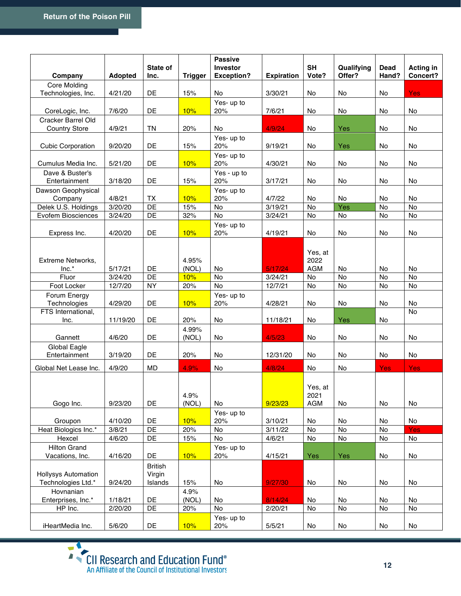|                            |                | State of       |                | <b>Passive</b><br>Investor |                    | <b>SH</b>  | Qualifying | <b>Dead</b> | <b>Acting in</b> |
|----------------------------|----------------|----------------|----------------|----------------------------|--------------------|------------|------------|-------------|------------------|
| Company                    | <b>Adopted</b> | Inc.           | <b>Trigger</b> | <b>Exception?</b>          | <b>Expiration</b>  | Vote?      | Offer?     | Hand?       | Concert?         |
| Core Molding               |                |                |                |                            |                    |            |            |             |                  |
| Technologies, Inc.         | 4/21/20        | DE             | 15%            | No                         | 3/30/21            | <b>No</b>  | No         | No          | <b>Yes</b>       |
|                            |                |                |                | Yes- up to                 |                    |            |            |             |                  |
| CoreLogic, Inc.            | 7/6/20         | DE             | 10%            | 20%                        | 7/6/21             | <b>No</b>  | <b>No</b>  | No          | No.              |
| Cracker Barrel Old         |                |                |                |                            |                    |            |            |             |                  |
| <b>Country Store</b>       | 4/9/21         | <b>TN</b>      | 20%            | No                         | 4/9/24             | No         | Yes        | No          | No               |
|                            |                |                |                | Yes- up to                 |                    |            |            |             |                  |
| <b>Cubic Corporation</b>   | 9/20/20        | DE             | 15%            | 20%                        | 9/19/21            | No         | Yes        | No          | No               |
|                            |                |                |                | Yes- up to                 |                    |            |            |             |                  |
| Cumulus Media Inc.         | 5/21/20        | DE             | 10%            | 20%                        | 4/30/21            | No         | No         | No          | No               |
| Dave & Buster's            |                |                |                | Yes - up to                |                    |            |            |             |                  |
| Entertainment              | 3/18/20        | DE             | 15%            | 20%                        | 3/17/21            | No         | No         | No          | No               |
| Dawson Geophysical         |                |                |                | Yes- up to                 |                    |            |            |             |                  |
| Company                    | 4/8/21         | TX             | 10%            | 20%                        | 4/7/22             | No         | No         | No          | No               |
| Delek U.S. Holdings        | 3/20/20        | DE<br>DE       | 15%<br>32%     | No<br>No                   | 3/19/21<br>3/24/21 | No<br>No   | Yes<br>No  | No<br>No    | No<br>No         |
| Evofem Biosciences         | 3/24/20        |                |                |                            |                    |            |            |             |                  |
|                            |                | DE             |                | Yes- up to                 |                    |            |            |             |                  |
| Express Inc.               | 4/20/20        |                | 10%            | 20%                        | 4/19/21            | No         | No         | No          | No               |
|                            |                |                |                |                            |                    |            |            |             |                  |
|                            |                |                |                |                            |                    | Yes, at    |            |             |                  |
| Extreme Networks,          |                |                | 4.95%          |                            |                    | 2022       |            |             |                  |
| Inc.*                      | 5/17/21        | DE             | (NOL)          | No                         | 5/17/24            | <b>AGM</b> | No         | <b>No</b>   | No               |
| Fluor                      | 3/24/20        | DE             | 10%            | No                         | 3/24/21            | No         | No         | No          | No               |
| Foot Locker                | 12/7/20        | <b>NY</b>      | 20%            | No                         | 12/7/21            | No         | No         | No          | No               |
| Forum Energy               |                |                |                | Yes- up to                 |                    |            |            |             |                  |
| Technologies               | 4/29/20        | DE             | 10%            | 20%                        | 4/28/21            | No         | No         | No          | No               |
| FTS International,<br>Inc. | 11/19/20       | DE             | 20%            | No                         | 11/18/21           | No         | <b>Yes</b> | No          | No               |
|                            |                |                | 4.99%          |                            |                    |            |            |             |                  |
| Gannett                    | 4/6/20         | DE             | (NOL)          | No                         | 4/5/23             | No         | No         | No          | No               |
| Global Eagle               |                |                |                |                            |                    |            |            |             |                  |
| Entertainment              | 3/19/20        | DE             | 20%            | No                         | 12/31/20           | No         | No         | No          | No               |
|                            |                |                |                |                            |                    |            |            |             |                  |
| Global Net Lease Inc.      | 4/9/20         | MD             | 4.9%           | No                         | 4/8/24             | No         | No         | <b>Yes</b>  | <b>Yes</b>       |
|                            |                |                |                |                            |                    |            |            |             |                  |
|                            |                |                |                |                            |                    | Yes, at    |            |             |                  |
|                            |                |                | 4.9%           |                            |                    | 2021       |            |             |                  |
| Gogo Inc.                  | 9/23/20        | DE             | (NOL)          | No                         | 9/23/23            | <b>AGM</b> | No         | No          | No               |
|                            |                |                |                | Yes- up to                 |                    |            |            |             |                  |
| Groupon                    | 4/10/20        | DE             | 10%            | 20%                        | 3/10/21            | No         | No         | No          | No               |
| Heat Biologics Inc.*       | 3/8/21         | DE             | 20%            | No                         | 3/11/22            | No         | No         | No          | <b>Yes</b>       |
| Hexcel                     | 4/6/20         | DE             | 15%            | No                         | 4/6/21             | No         | No         | No          | No               |
| <b>Hilton Grand</b>        |                |                |                | Yes- up to                 |                    |            |            |             |                  |
| Vacations, Inc.            | 4/16/20        | DE             | 10%            | 20%                        | 4/15/21            | Yes        | Yes        | No          | No               |
|                            |                | <b>British</b> |                |                            |                    |            |            |             |                  |
| <b>Hollysys Automation</b> |                | Virgin         |                |                            |                    |            |            |             |                  |
| Technologies Ltd.*         | 9/24/20        | Islands        | 15%            | No                         | 9/27/30            | No         | No         | No          | No               |
| Hovnanian                  |                |                | 4.9%           |                            |                    |            |            |             |                  |
| Enterprises, Inc.*         | 1/18/21        | DE             | (NOL)          | No                         | 8/14/24            | No         | No         | No          | No               |
| HP Inc.                    | 2/20/20        | DE             | 20%            | No                         | 2/20/21            | No         | No         | No          | No               |
|                            |                |                |                | Yes- up to                 |                    |            |            |             |                  |
| iHeartMedia Inc.           | 5/6/20         | DE             | 10%            | 20%                        | 5/5/21             | No         | No         | No          | No               |

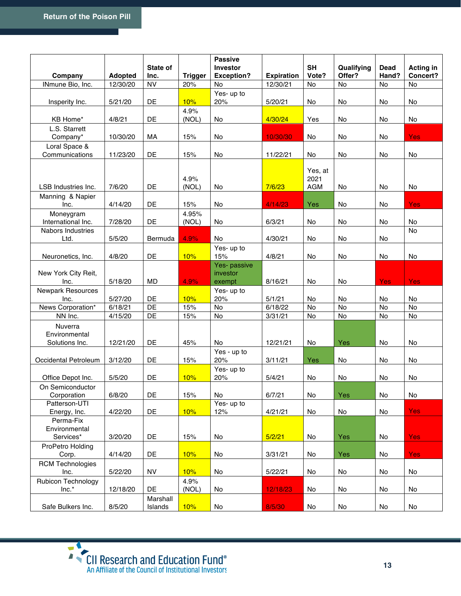|                                            |                |                     |                | <b>Passive</b>                     |                   |                               |                      |                      |                              |
|--------------------------------------------|----------------|---------------------|----------------|------------------------------------|-------------------|-------------------------------|----------------------|----------------------|------------------------------|
| Company                                    | <b>Adopted</b> | State of<br>Inc.    | <b>Trigger</b> | Investor<br><b>Exception?</b>      | <b>Expiration</b> | <b>SH</b><br>Vote?            | Qualifying<br>Offer? | <b>Dead</b><br>Hand? | <b>Acting in</b><br>Concert? |
| INmune Bio, Inc.                           | 12/30/20       | <b>NV</b>           | 20%            | No                                 | 12/30/21          | No                            | <b>No</b>            | <b>No</b>            | No                           |
|                                            |                |                     |                | Yes- up to                         |                   |                               |                      |                      |                              |
| Insperity Inc.                             | 5/21/20        | DE                  | 10%            | 20%                                | 5/20/21           | No                            | No                   | No                   | No                           |
| KB Home*                                   | 4/8/21         | DE                  | 4.9%<br>(NOL)  | No                                 | 4/30/24           | Yes                           | No                   | No                   | No                           |
| L.S. Starrett<br>Company*                  | 10/30/20       | МA                  | 15%            | No                                 | 10/30/30          | No                            | No                   | No                   | Yes                          |
| Loral Space &<br>Communications            | 11/23/20       | DE                  | 15%            | No                                 | 11/22/21          | No                            | No                   | No                   | No                           |
| LSB Industries Inc.                        | 7/6/20         | DE                  | 4.9%<br>(NOL)  | No                                 | 7/6/23            | Yes, at<br>2021<br><b>AGM</b> | No                   | No                   | No                           |
| Manning & Napier<br>Inc.                   | 4/14/20        | DE                  | 15%            | No                                 | 4/14/23           | Yes                           | No                   | No                   | <b>Yes</b>                   |
| Moneygram<br>International Inc.            | 7/28/20        | DE                  | 4.95%<br>(NOL) | No                                 | 6/3/21            | No                            | No                   | No                   | No                           |
| Nabors Industries<br>Ltd.                  | 5/5/20         | Bermuda             | 4.9%           | No                                 | 4/30/21           | No                            | No                   | No                   | No                           |
| Neuronetics, Inc.                          | 4/8/20         | DE                  | 10%            | Yes- up to<br>15%                  | 4/8/21            | No                            | No                   | No                   | No                           |
| New York City Reit,<br>Inc.                | 5/18/20        | <b>MD</b>           | 4.9%           | Yes- passive<br>investor<br>exempt | 8/16/21           | No                            | No                   | Yes                  | <b>Yes</b>                   |
| <b>Newpark Resources</b><br>Inc.           | 5/27/20        | DE                  | 10%            | Yes- up to<br>20%                  | 5/1/21            | No                            | No                   | No                   | No                           |
| News Corporation*                          | 6/18/21        | DE                  | 15%            | No                                 | 6/18/22           | No                            | No                   | No                   | No                           |
| NN Inc.                                    | 4/15/20        | DE                  | 15%            | No                                 | 3/31/21           | No                            | No                   | No                   | No                           |
| Nuverra<br>Environmental<br>Solutions Inc. | 12/21/20       | DE                  | 45%            | No                                 | 12/21/21          | No                            | <b>Yes</b>           | No                   | No                           |
| Occidental Petroleum                       | 3/12/20        | DE                  | 15%            | Yes - up to<br>20%                 | 3/11/21           | Yes                           | No                   | No                   | No                           |
| Office Depot Inc.                          | 5/5/20         | DE                  | 10%            | Yes- up to<br>20%                  | 5/4/21            | No                            | No                   | No                   | No                           |
| On Semiconductor<br>Corporation            | 6/8/20         | DE                  | 15%            | No                                 | 6/7/21            | No                            | Yes                  | No                   | No                           |
| Patterson-UTI<br>Energy, Inc.              | 4/22/20        | DE                  | 10%            | Yes- up to<br>12%                  | 4/21/21           | No                            | No                   | No                   | <b>Yes</b>                   |
| Perma-Fix<br>Environmental<br>Services*    | 3/20/20        | DE                  | 15%            | No                                 | 5/2/21            | No                            | Yes                  | No                   | <b>Yes</b>                   |
| ProPetro Holding<br>Corp.                  | 4/14/20        | DE                  | 10%            | No                                 | 3/31/21           | No                            | Yes                  | No                   | <b>Yes</b>                   |
| <b>RCM Technologies</b><br>Inc.            | 5/22/20        | <b>NV</b>           | 10%            | No                                 | 5/22/21           | No                            | No                   | No                   | No                           |
| Rubicon Technology<br>$Inc.*$              | 12/18/20       | DE                  | 4.9%<br>(NOL)  | No                                 | 12/18/23          | No                            | No                   | No                   | No                           |
| Safe Bulkers Inc.                          | 8/5/20         | Marshall<br>Islands | 10%            | No                                 | 8/5/30            | No                            | No                   | No                   | No                           |

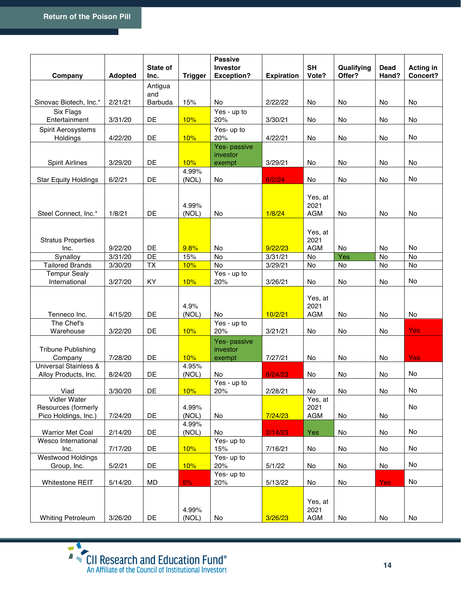|                                      |                | State of              |                | <b>Passive</b><br>Investor         |                   | <b>SH</b>                     | Qualifying | Dead           | <b>Acting in</b> |
|--------------------------------------|----------------|-----------------------|----------------|------------------------------------|-------------------|-------------------------------|------------|----------------|------------------|
| Company                              | <b>Adopted</b> | Inc.                  | <b>Trigger</b> | <b>Exception?</b>                  | <b>Expiration</b> | Vote?                         | Offer?     | Hand?          | Concert?         |
|                                      |                | Antigua               |                |                                    |                   |                               |            |                |                  |
| Sinovac Biotech, Inc.*               | 2/21/21        | and<br><b>Barbuda</b> | 15%            | No                                 | 2/22/22           | No                            | No         | No             | No               |
| Six Flags                            |                |                       |                | Yes - up to                        |                   |                               |            |                |                  |
| Entertainment                        | 3/31/20        | DE                    | 10%            | 20%                                | 3/30/21           | No                            | No         | No             | No               |
| Spirit Aerosystems<br>Holdings       | 4/22/20        | DE                    | 10%            | Yes- up to<br>20%                  | 4/22/21           | No                            | No         | No             | No               |
|                                      |                |                       |                | Yes- passive                       |                   |                               |            |                |                  |
|                                      |                |                       |                | investor                           |                   |                               |            |                |                  |
| <b>Spirit Airlines</b>               | 3/29/20        | DE                    | 10%            | exempt                             | 3/29/21           | No                            | No         | No             | No               |
|                                      |                |                       | 4.99%          |                                    |                   |                               |            |                |                  |
| <b>Star Equity Holdings</b>          | 6/2/21         | DE                    | (NOL)          | No                                 | 6/2/24            | No                            | No         | No             | No               |
|                                      |                |                       |                |                                    |                   |                               |            |                |                  |
|                                      |                |                       |                |                                    |                   | Yes, at                       |            |                |                  |
|                                      |                |                       | 4.99%          |                                    |                   | 2021                          |            |                |                  |
| Steel Connect, Inc.*                 | 1/8/21         | DE                    | (NOL)          | No                                 | 1/8/24            | <b>AGM</b>                    | No         | No             | No               |
|                                      |                |                       |                |                                    |                   |                               |            |                |                  |
|                                      |                |                       |                |                                    |                   | Yes, at                       |            |                |                  |
| <b>Stratus Properties</b>            |                |                       |                |                                    |                   | 2021                          |            |                |                  |
| Inc.                                 | 9/22/20        | DE                    | 9.8%           | No                                 | 9/22/23           | <b>AGM</b>                    | No         | No             | No               |
| Synalloy                             | 3/31/20        | DE                    | 15%            | $\overline{N}$                     | 3/31/21           | No                            | Yes        | N <sub>o</sub> | No               |
| <b>Tailored Brands</b>               | 3/30/20        | TX                    | 10%            | No                                 | 3/29/21           | No                            | No         | No             | No               |
| <b>Tempur Sealy</b>                  |                |                       |                | Yes - up to                        |                   |                               |            |                |                  |
| International                        | 3/27/20        | KY.                   | 10%            | 20%                                | 3/26/21           | No                            | No         | No             | No               |
| Tenneco Inc.                         | 4/15/20        | DE                    | 4.9%<br>(NOL)  | No                                 | 10/2/21           | Yes, at<br>2021<br><b>AGM</b> | No         | No             | No               |
| The Chef's                           |                |                       |                | Yes - up to                        |                   |                               |            |                |                  |
| Warehouse                            | 3/22/20        | DE                    | 10%            | 20%                                | 3/21/21           | No                            | No         | No             | <b>Yes</b>       |
| <b>Tribune Publishing</b><br>Company | 7/28/20        | DE                    | 10%            | Yes- passive<br>investor<br>exempt | 7/27/21           | No                            | No         | No             | <b>Yes</b>       |
| <b>Universal Stainless &amp;</b>     |                |                       | 4.95%          |                                    |                   |                               |            |                |                  |
| Alloy Products, Inc.                 | 8/24/20        | DE                    | (NOL)          | No                                 | 8/24/23           | No                            | No         | No             | No               |
|                                      |                |                       |                | Yes - up to                        |                   |                               |            |                |                  |
| Viad                                 | 3/30/20        | DE                    | 10%            | 20%                                | 2/28/21           | No                            | No         | No             | No               |
| Vidler Water                         |                |                       |                |                                    |                   | Yes, at                       |            |                |                  |
| Resources (formerly                  |                |                       | 4.99%          |                                    |                   | 2021                          |            |                | No               |
| Pico Holdings, Inc.)                 | 7/24/20        | DE                    | (NOL)          | No                                 | 7/24/23           | <b>AGM</b>                    | No         | No             |                  |
| <b>Warrior Met Coal</b>              | 2/14/20        | DE                    | 4.99%<br>(NOL) | No                                 | 2/14/23           | Yes                           | No         | No             | No               |
| Wesco International                  |                |                       |                | Yes- up to                         |                   |                               |            |                |                  |
| Inc.                                 | 7/17/20        | DE                    | 10%            | 15%                                | 7/16/21           | No                            | No         | No             | No               |
| Westwood Holdings                    |                |                       |                | Yes- up to                         |                   |                               |            |                |                  |
| Group, Inc.                          | 5/2/21         | DE                    | 10%            | 20%                                | 5/1/22            | No                            | No         | No             | No               |
|                                      |                |                       |                | Yes- up to                         |                   |                               |            |                |                  |
| Whitestone REIT                      | 5/14/20        | MD                    | 5%             | 20%                                | 5/13/22           | No                            | No         | <b>Yes</b>     | No               |
|                                      |                |                       | 4.99%          |                                    |                   | Yes, at<br>2021               |            |                |                  |
| <b>Whiting Petroleum</b>             | 3/26/20        | DE                    | (NOL)          | No                                 | 3/26/23           | AGM                           | No         | No             | No               |